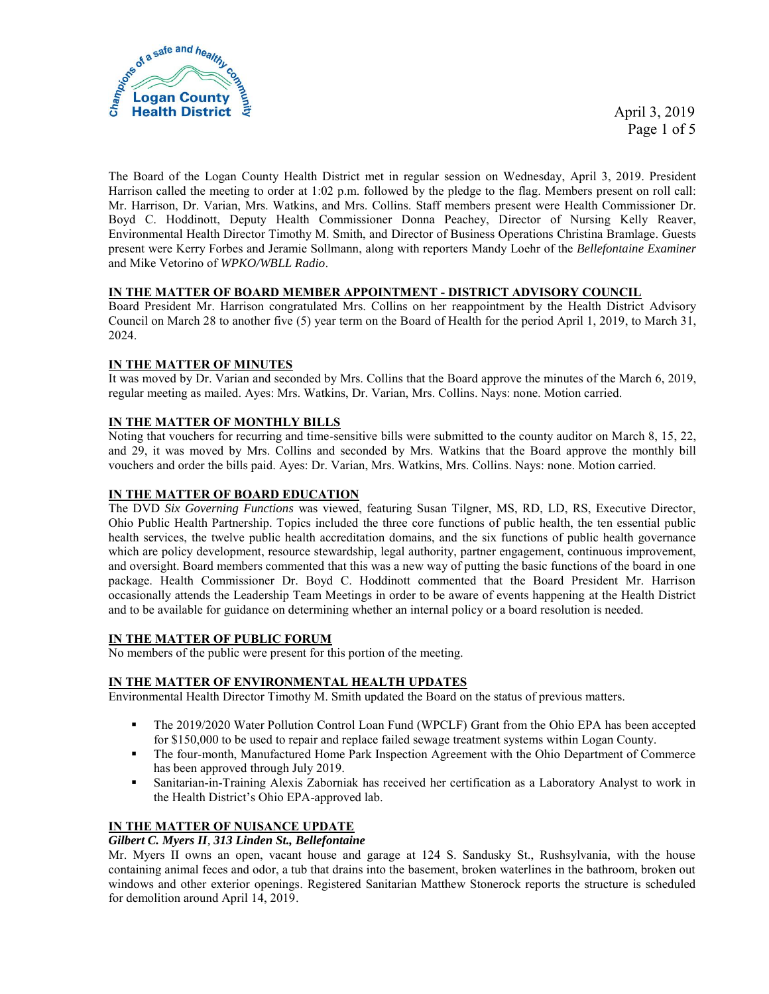

 April 3, 2019 Page 1 of 5

The Board of the Logan County Health District met in regular session on Wednesday, April 3, 2019. President Harrison called the meeting to order at 1:02 p.m. followed by the pledge to the flag. Members present on roll call: Mr. Harrison, Dr. Varian, Mrs. Watkins, and Mrs. Collins. Staff members present were Health Commissioner Dr. Boyd C. Hoddinott, Deputy Health Commissioner Donna Peachey, Director of Nursing Kelly Reaver, Environmental Health Director Timothy M. Smith, and Director of Business Operations Christina Bramlage. Guests present were Kerry Forbes and Jeramie Sollmann, along with reporters Mandy Loehr of the *Bellefontaine Examiner* and Mike Vetorino of *WPKO/WBLL Radio*.

## **IN THE MATTER OF BOARD MEMBER APPOINTMENT - DISTRICT ADVISORY COUNCIL**

Board President Mr. Harrison congratulated Mrs. Collins on her reappointment by the Health District Advisory Council on March 28 to another five (5) year term on the Board of Health for the period April 1, 2019, to March 31, 2024.

# **IN THE MATTER OF MINUTES**

It was moved by Dr. Varian and seconded by Mrs. Collins that the Board approve the minutes of the March 6, 2019, regular meeting as mailed. Ayes: Mrs. Watkins, Dr. Varian, Mrs. Collins. Nays: none. Motion carried.

# **IN THE MATTER OF MONTHLY BILLS**

Noting that vouchers for recurring and time-sensitive bills were submitted to the county auditor on March 8, 15, 22, and 29, it was moved by Mrs. Collins and seconded by Mrs. Watkins that the Board approve the monthly bill vouchers and order the bills paid. Ayes: Dr. Varian, Mrs. Watkins, Mrs. Collins. Nays: none. Motion carried.

## **IN THE MATTER OF BOARD EDUCATION**

The DVD *Six Governing Functions* was viewed, featuring Susan Tilgner, MS, RD, LD, RS, Executive Director, Ohio Public Health Partnership. Topics included the three core functions of public health, the ten essential public health services, the twelve public health accreditation domains, and the six functions of public health governance which are policy development, resource stewardship, legal authority, partner engagement, continuous improvement, and oversight. Board members commented that this was a new way of putting the basic functions of the board in one package. Health Commissioner Dr. Boyd C. Hoddinott commented that the Board President Mr. Harrison occasionally attends the Leadership Team Meetings in order to be aware of events happening at the Health District and to be available for guidance on determining whether an internal policy or a board resolution is needed.

## **IN THE MATTER OF PUBLIC FORUM**

No members of the public were present for this portion of the meeting.

## **IN THE MATTER OF ENVIRONMENTAL HEALTH UPDATES**

Environmental Health Director Timothy M. Smith updated the Board on the status of previous matters.

- The 2019/2020 Water Pollution Control Loan Fund (WPCLF) Grant from the Ohio EPA has been accepted for \$150,000 to be used to repair and replace failed sewage treatment systems within Logan County.
- The four-month, Manufactured Home Park Inspection Agreement with the Ohio Department of Commerce has been approved through July 2019.
- Sanitarian-in-Training Alexis Zaborniak has received her certification as a Laboratory Analyst to work in the Health District's Ohio EPA-approved lab.

### **IN THE MATTER OF NUISANCE UPDATE**

### *Gilbert C. Myers II, 313 Linden St., Bellefontaine*

Mr. Myers II owns an open, vacant house and garage at 124 S. Sandusky St., Rushsylvania, with the house containing animal feces and odor, a tub that drains into the basement, broken waterlines in the bathroom, broken out windows and other exterior openings. Registered Sanitarian Matthew Stonerock reports the structure is scheduled for demolition around April 14, 2019.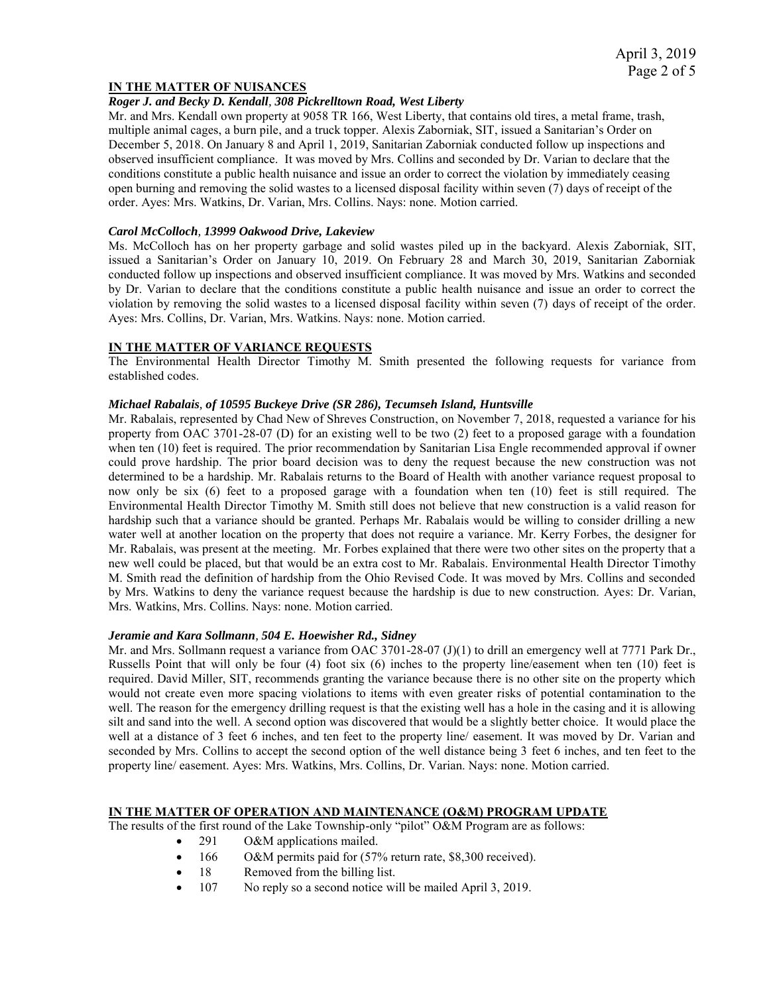# **IN THE MATTER OF NUISANCES**

### *Roger J. and Becky D. Kendall, 308 Pickrelltown Road, West Liberty*

Mr. and Mrs. Kendall own property at 9058 TR 166, West Liberty, that contains old tires, a metal frame, trash, multiple animal cages, a burn pile, and a truck topper. Alexis Zaborniak, SIT, issued a Sanitarian's Order on December 5, 2018. On January 8 and April 1, 2019, Sanitarian Zaborniak conducted follow up inspections and observed insufficient compliance. It was moved by Mrs. Collins and seconded by Dr. Varian to declare that the conditions constitute a public health nuisance and issue an order to correct the violation by immediately ceasing open burning and removing the solid wastes to a licensed disposal facility within seven (7) days of receipt of the order. Ayes: Mrs. Watkins, Dr. Varian, Mrs. Collins. Nays: none. Motion carried.

### *Carol McColloch, 13999 Oakwood Drive, Lakeview*

Ms. McColloch has on her property garbage and solid wastes piled up in the backyard. Alexis Zaborniak, SIT, issued a Sanitarian's Order on January 10, 2019. On February 28 and March 30, 2019, Sanitarian Zaborniak conducted follow up inspections and observed insufficient compliance. It was moved by Mrs. Watkins and seconded by Dr. Varian to declare that the conditions constitute a public health nuisance and issue an order to correct the violation by removing the solid wastes to a licensed disposal facility within seven (7) days of receipt of the order. Ayes: Mrs. Collins, Dr. Varian, Mrs. Watkins. Nays: none. Motion carried.

### **IN THE MATTER OF VARIANCE REQUESTS**

The Environmental Health Director Timothy M. Smith presented the following requests for variance from established codes.

### *Michael Rabalais, of 10595 Buckeye Drive (SR 286), Tecumseh Island, Huntsville*

Mr. Rabalais, represented by Chad New of Shreves Construction, on November 7, 2018, requested a variance for his property from OAC 3701-28-07 (D) for an existing well to be two (2) feet to a proposed garage with a foundation when ten (10) feet is required. The prior recommendation by Sanitarian Lisa Engle recommended approval if owner could prove hardship. The prior board decision was to deny the request because the new construction was not determined to be a hardship. Mr. Rabalais returns to the Board of Health with another variance request proposal to now only be six (6) feet to a proposed garage with a foundation when ten (10) feet is still required. The Environmental Health Director Timothy M. Smith still does not believe that new construction is a valid reason for hardship such that a variance should be granted. Perhaps Mr. Rabalais would be willing to consider drilling a new water well at another location on the property that does not require a variance. Mr. Kerry Forbes, the designer for Mr. Rabalais, was present at the meeting. Mr. Forbes explained that there were two other sites on the property that a new well could be placed, but that would be an extra cost to Mr. Rabalais. Environmental Health Director Timothy M. Smith read the definition of hardship from the Ohio Revised Code. It was moved by Mrs. Collins and seconded by Mrs. Watkins to deny the variance request because the hardship is due to new construction. Ayes: Dr. Varian, Mrs. Watkins, Mrs. Collins. Nays: none. Motion carried.

### *Jeramie and Kara Sollmann, 504 E. Hoewisher Rd., Sidney*

Mr. and Mrs. Sollmann request a variance from OAC 3701-28-07 (J)(1) to drill an emergency well at 7771 Park Dr., Russells Point that will only be four (4) foot six (6) inches to the property line/easement when ten (10) feet is required. David Miller, SIT, recommends granting the variance because there is no other site on the property which would not create even more spacing violations to items with even greater risks of potential contamination to the well. The reason for the emergency drilling request is that the existing well has a hole in the casing and it is allowing silt and sand into the well. A second option was discovered that would be a slightly better choice. It would place the well at a distance of 3 feet 6 inches, and ten feet to the property line/ easement. It was moved by Dr. Varian and seconded by Mrs. Collins to accept the second option of the well distance being 3 feet 6 inches, and ten feet to the property line/ easement. Ayes: Mrs. Watkins, Mrs. Collins, Dr. Varian. Nays: none. Motion carried.

### **IN THE MATTER OF OPERATION AND MAINTENANCE (O&M) PROGRAM UPDATE**

The results of the first round of the Lake Township-only "pilot" O&M Program are as follows:

- 291 O&M applications mailed.
- 166 O&M permits paid for  $(57\%$  return rate, \$8,300 received).
- 18 Removed from the billing list.
- 107 No reply so a second notice will be mailed April 3, 2019.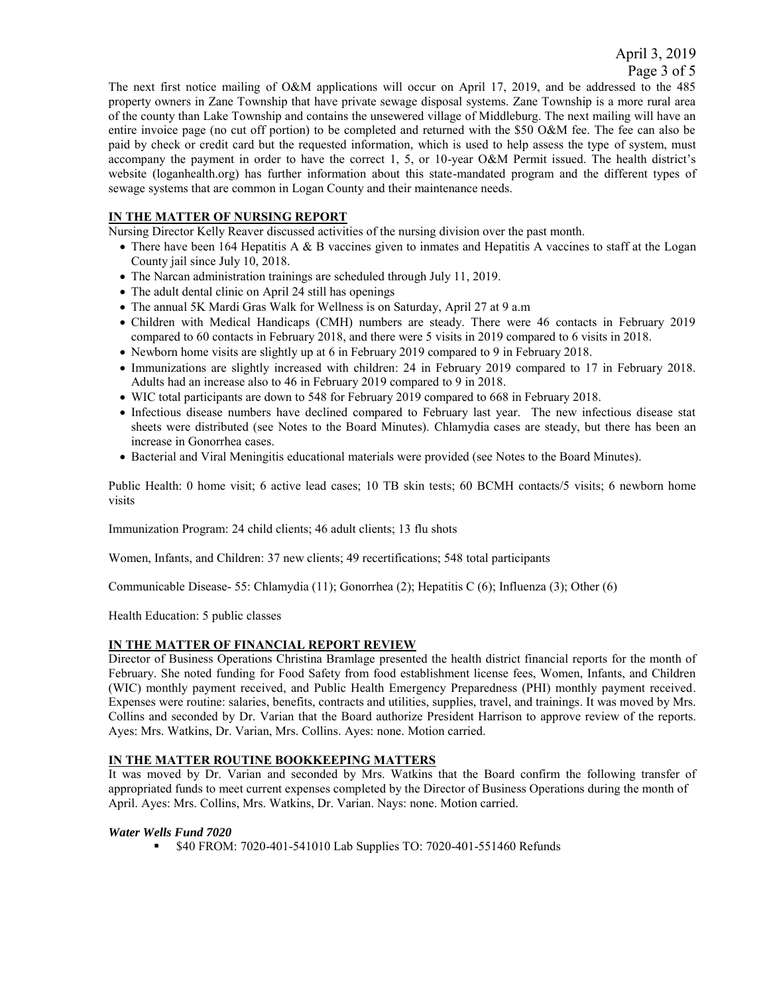The next first notice mailing of O&M applications will occur on April 17, 2019, and be addressed to the 485 property owners in Zane Township that have private sewage disposal systems. Zane Township is a more rural area of the county than Lake Township and contains the unsewered village of Middleburg. The next mailing will have an entire invoice page (no cut off portion) to be completed and returned with the \$50 O&M fee. The fee can also be paid by check or credit card but the requested information, which is used to help assess the type of system, must accompany the payment in order to have the correct 1, 5, or 10-year O&M Permit issued. The health district's website (loganhealth.org) has further information about this state-mandated program and the different types of sewage systems that are common in Logan County and their maintenance needs.

# **IN THE MATTER OF NURSING REPORT**

Nursing Director Kelly Reaver discussed activities of the nursing division over the past month.

- There have been 164 Hepatitis A & B vaccines given to inmates and Hepatitis A vaccines to staff at the Logan County jail since July 10, 2018.
- The Narcan administration trainings are scheduled through July 11, 2019.
- The adult dental clinic on April 24 still has openings
- The annual 5K Mardi Gras Walk for Wellness is on Saturday, April 27 at 9 a.m
- Children with Medical Handicaps (CMH) numbers are steady. There were 46 contacts in February 2019 compared to 60 contacts in February 2018, and there were 5 visits in 2019 compared to 6 visits in 2018.
- Newborn home visits are slightly up at 6 in February 2019 compared to 9 in February 2018.
- Immunizations are slightly increased with children: 24 in February 2019 compared to 17 in February 2018. Adults had an increase also to 46 in February 2019 compared to 9 in 2018.
- WIC total participants are down to 548 for February 2019 compared to 668 in February 2018.
- Infectious disease numbers have declined compared to February last year. The new infectious disease stat sheets were distributed (see Notes to the Board Minutes). Chlamydia cases are steady, but there has been an increase in Gonorrhea cases.
- Bacterial and Viral Meningitis educational materials were provided (see Notes to the Board Minutes).

Public Health: 0 home visit; 6 active lead cases; 10 TB skin tests; 60 BCMH contacts/5 visits; 6 newborn home visits

Immunization Program: 24 child clients; 46 adult clients; 13 flu shots

Women, Infants, and Children: 37 new clients; 49 recertifications; 548 total participants

Communicable Disease- 55: Chlamydia (11); Gonorrhea (2); Hepatitis C (6); Influenza (3); Other (6)

Health Education: 5 public classes

## **IN THE MATTER OF FINANCIAL REPORT REVIEW**

Director of Business Operations Christina Bramlage presented the health district financial reports for the month of February. She noted funding for Food Safety from food establishment license fees, Women, Infants, and Children (WIC) monthly payment received, and Public Health Emergency Preparedness (PHI) monthly payment received. Expenses were routine: salaries, benefits, contracts and utilities, supplies, travel, and trainings. It was moved by Mrs. Collins and seconded by Dr. Varian that the Board authorize President Harrison to approve review of the reports. Ayes: Mrs. Watkins, Dr. Varian, Mrs. Collins. Ayes: none. Motion carried.

# **IN THE MATTER ROUTINE BOOKKEEPING MATTERS**

It was moved by Dr. Varian and seconded by Mrs. Watkins that the Board confirm the following transfer of appropriated funds to meet current expenses completed by the Director of Business Operations during the month of April. Ayes: Mrs. Collins, Mrs. Watkins, Dr. Varian. Nays: none. Motion carried.

## *Water Wells Fund 7020*

\$40 FROM: 7020-401-541010 Lab Supplies TO: 7020-401-551460 Refunds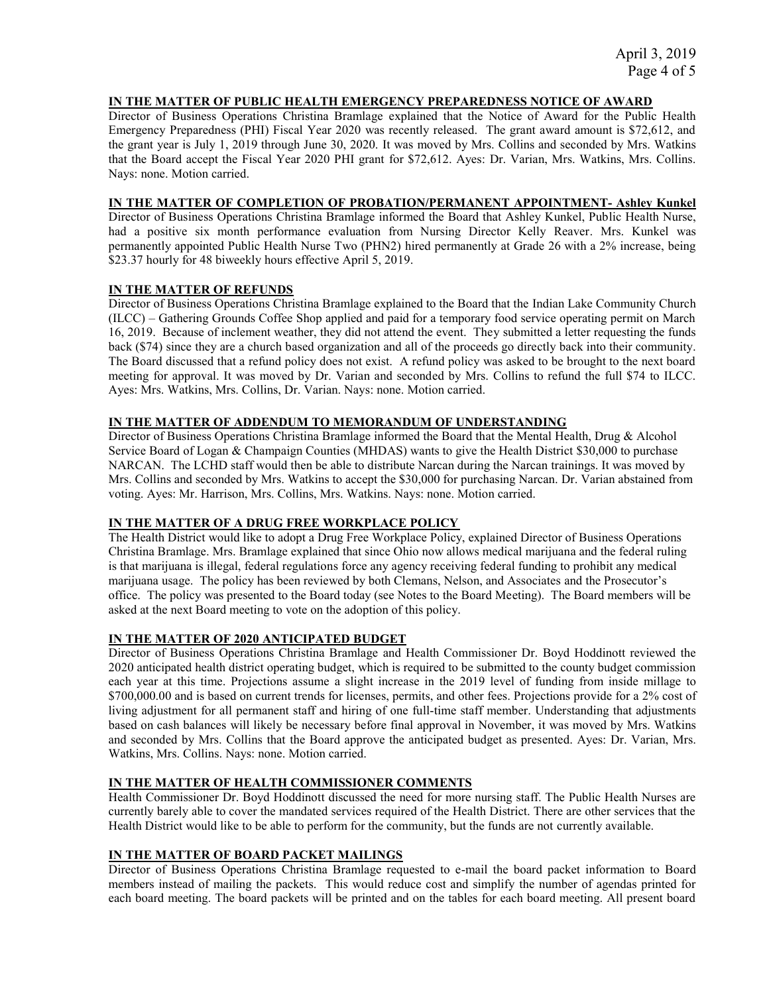## **IN THE MATTER OF PUBLIC HEALTH EMERGENCY PREPAREDNESS NOTICE OF AWARD**

Director of Business Operations Christina Bramlage explained that the Notice of Award for the Public Health Emergency Preparedness (PHI) Fiscal Year 2020 was recently released. The grant award amount is \$72,612, and the grant year is July 1, 2019 through June 30, 2020. It was moved by Mrs. Collins and seconded by Mrs. Watkins that the Board accept the Fiscal Year 2020 PHI grant for \$72,612. Ayes: Dr. Varian, Mrs. Watkins, Mrs. Collins. Nays: none. Motion carried.

## **IN THE MATTER OF COMPLETION OF PROBATION/PERMANENT APPOINTMENT- Ashley Kunkel**

Director of Business Operations Christina Bramlage informed the Board that Ashley Kunkel, Public Health Nurse, had a positive six month performance evaluation from Nursing Director Kelly Reaver. Mrs. Kunkel was permanently appointed Public Health Nurse Two (PHN2) hired permanently at Grade 26 with a 2% increase, being \$23.37 hourly for 48 biweekly hours effective April 5, 2019.

## **IN THE MATTER OF REFUNDS**

Director of Business Operations Christina Bramlage explained to the Board that the Indian Lake Community Church (ILCC) – Gathering Grounds Coffee Shop applied and paid for a temporary food service operating permit on March 16, 2019. Because of inclement weather, they did not attend the event. They submitted a letter requesting the funds back (\$74) since they are a church based organization and all of the proceeds go directly back into their community. The Board discussed that a refund policy does not exist. A refund policy was asked to be brought to the next board meeting for approval. It was moved by Dr. Varian and seconded by Mrs. Collins to refund the full \$74 to ILCC. Ayes: Mrs. Watkins, Mrs. Collins, Dr. Varian. Nays: none. Motion carried.

## **IN THE MATTER OF ADDENDUM TO MEMORANDUM OF UNDERSTANDING**

Director of Business Operations Christina Bramlage informed the Board that the Mental Health, Drug & Alcohol Service Board of Logan & Champaign Counties (MHDAS) wants to give the Health District \$30,000 to purchase NARCAN. The LCHD staff would then be able to distribute Narcan during the Narcan trainings. It was moved by Mrs. Collins and seconded by Mrs. Watkins to accept the \$30,000 for purchasing Narcan. Dr. Varian abstained from voting. Ayes: Mr. Harrison, Mrs. Collins, Mrs. Watkins. Nays: none. Motion carried.

## **IN THE MATTER OF A DRUG FREE WORKPLACE POLICY**

The Health District would like to adopt a Drug Free Workplace Policy, explained Director of Business Operations Christina Bramlage. Mrs. Bramlage explained that since Ohio now allows medical marijuana and the federal ruling is that marijuana is illegal, federal regulations force any agency receiving federal funding to prohibit any medical marijuana usage. The policy has been reviewed by both Clemans, Nelson, and Associates and the Prosecutor's office. The policy was presented to the Board today (see Notes to the Board Meeting). The Board members will be asked at the next Board meeting to vote on the adoption of this policy.

## **IN THE MATTER OF 2020 ANTICIPATED BUDGET**

Director of Business Operations Christina Bramlage and Health Commissioner Dr. Boyd Hoddinott reviewed the 2020 anticipated health district operating budget, which is required to be submitted to the county budget commission each year at this time. Projections assume a slight increase in the 2019 level of funding from inside millage to \$700,000.00 and is based on current trends for licenses, permits, and other fees. Projections provide for a 2% cost of living adjustment for all permanent staff and hiring of one full-time staff member. Understanding that adjustments based on cash balances will likely be necessary before final approval in November, it was moved by Mrs. Watkins and seconded by Mrs. Collins that the Board approve the anticipated budget as presented. Ayes: Dr. Varian, Mrs. Watkins, Mrs. Collins. Nays: none. Motion carried.

# **IN THE MATTER OF HEALTH COMMISSIONER COMMENTS**

Health Commissioner Dr. Boyd Hoddinott discussed the need for more nursing staff. The Public Health Nurses are currently barely able to cover the mandated services required of the Health District. There are other services that the Health District would like to be able to perform for the community, but the funds are not currently available.

## **IN THE MATTER OF BOARD PACKET MAILINGS**

Director of Business Operations Christina Bramlage requested to e-mail the board packet information to Board members instead of mailing the packets. This would reduce cost and simplify the number of agendas printed for each board meeting. The board packets will be printed and on the tables for each board meeting. All present board